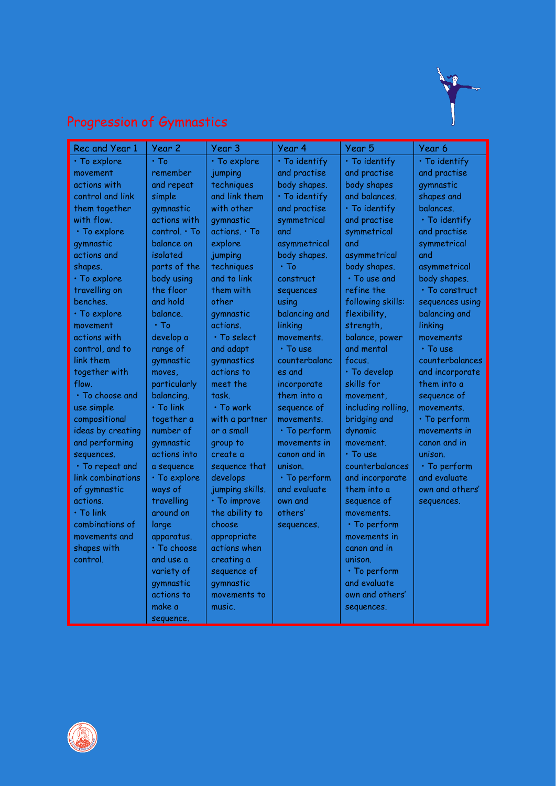

# Progression of Gymnastics

| Rec and Year 1     | Year 2            | Year 3            | Year 4             | Year 5             | Year 6               |
|--------------------|-------------------|-------------------|--------------------|--------------------|----------------------|
| · To explore       | $\cdot$ To        | · To explore      | · To identify      | · To identify      | · To identify        |
| movement           | remember          | jumping           | and practise       | and practise       | and practise         |
| actions with       | and repeat        | techniques        | body shapes.       | body shapes        | gymnastic            |
| control and link   | simple            | and link them     | · To identify      | and balances.      | shapes and           |
| them together      | gymnastic         | with other        | and practise       | · To identify      | balances.            |
| with flow.         | actions with      | gymnastic         | symmetrical        | and practise       | · To identify        |
| $\cdot$ To explore | control. • To     | actions. . To     | and                | symmetrical        | and practise         |
| gymnastic          | balance on        | explore           | asymmetrical       | and                | symmetrical          |
| actions and        | isolated          | jumping           | body shapes.       | asymmetrical       | and                  |
| shapes.            | parts of the      | techniques        | $\cdot$ To         | body shapes.       | asymmetrical         |
| $\cdot$ To explore | body using        | and to link       | construct          | · To use and       | body shapes.         |
| travelling on      | the floor         | them with         | sequences          | refine the         | $\cdot$ To construct |
| benches.           | and hold          | other             | using              | following skills:  | sequences using      |
| $\cdot$ To explore | balance.          | gymnastic         | balancing and      | flexibility,       | balancing and        |
| movement           | $\cdot$ To        | actions.          | linking            | strength,          | linking              |
| actions with       | develop a         | $\cdot$ To select | movements.         | balance, power     | movements            |
| control, and to    | range of          | and adapt         | • To use           | and mental         | • To use             |
| link them          | gymnastic         | gymnastics        | counterbalanc      | focus.             | counterbalances      |
| together with      | moves,            | actions to        | es and             | · To develop       | and incorporate      |
| flow.              | particularly      | meet the          | incorporate        | skills for         | them into a          |
| · To choose and    | balancing.        | task.             | them into a        | movement.          | sequence of          |
| use simple         | · To link         | $\cdot$ To work   | sequence of        | including rolling, | movements.           |
| compositional      | together a        | with a partner    | movements.         | bridging and       | $\cdot$ To perform   |
| ideas by creating  | number of         | or a small        | $\cdot$ To perform | dynamic            | movements in         |
| and performing     | gymnastic         | group to          | movements in       | movement.          | canon and in         |
| sequences.         | actions into      | create a          | canon and in       | • To use           | unison.              |
| · To repeat and    | a sequence        | sequence that     | unison.            | counterbalances    | · To perform         |
| link combinations  | · To explore      | develops          | $\cdot$ To perform | and incorporate    | and evaluate         |
| of gymnastic       | ways of           | jumping skills.   | and evaluate       | them into a        | own and others'      |
| actions.           | travelling        | · To improve      | own and            | sequence of        | sequences.           |
| $\cdot$ To link    | around on         | the ability to    | others'            | movements.         |                      |
| combinations of    | large             | choose            | sequences.         | $\cdot$ To perform |                      |
| movements and      | apparatus.        | appropriate       |                    | movements in       |                      |
| shapes with        | $\cdot$ To choose | actions when      |                    | canon and in       |                      |
| control.           | and use a         | creating a        |                    | unison.            |                      |
|                    | variety of        | sequence of       |                    | $\cdot$ To perform |                      |
|                    | gymnastic         | gymnastic         |                    | and evaluate       |                      |
|                    | actions to        | movements to      |                    | own and others'    |                      |
|                    | make a            | music.            |                    | sequences.         |                      |
|                    | sequence.         |                   |                    |                    |                      |

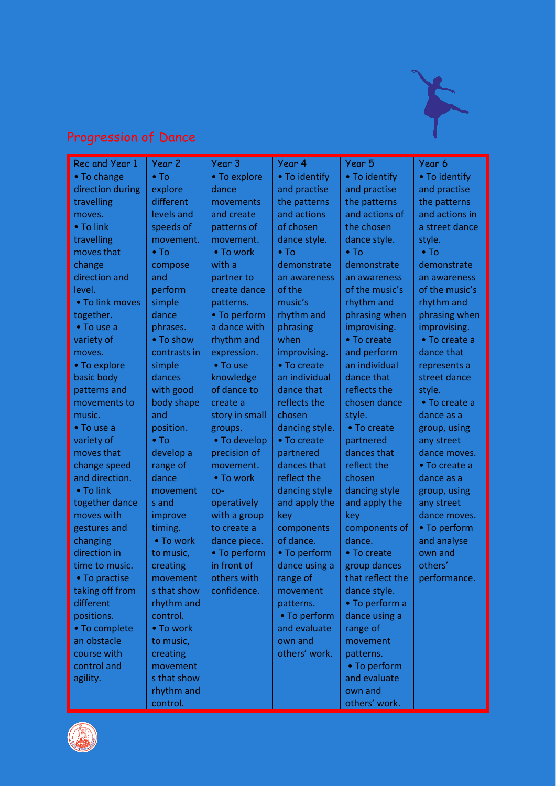

## Progression of Dance

| Rec and Year 1   | Year 2       | Year 3         | Year 4         | Year 5           | Year 6         |
|------------------|--------------|----------------|----------------|------------------|----------------|
| • To change      | $\bullet$ To | • To explore   | • To identify  | • To identify    | • To identify  |
| direction during | explore      | dance          | and practise   | and practise     | and practise   |
| travelling       | different    | movements      | the patterns   | the patterns     | the patterns   |
| moves.           | levels and   | and create     | and actions    | and actions of   | and actions in |
| • To link        | speeds of    | patterns of    | of chosen      | the chosen       | a street dance |
| travelling       | movement.    | movement.      | dance style.   | dance style.     | style.         |
| moves that       | $\bullet$ To | • To work      | $\bullet$ To   | $\bullet$ To     | $\bullet$ To   |
| change           | compose      | with a         | demonstrate    | demonstrate      | demonstrate    |
| direction and    | and          | partner to     | an awareness   | an awareness     | an awareness   |
| level.           | perform      | create dance   | of the         | of the music's   | of the music's |
| • To link moves  | simple       | patterns.      | music's        | rhythm and       | rhythm and     |
| together.        | dance        | • To perform   | rhythm and     | phrasing when    | phrasing when  |
| • To use a       | phrases.     | a dance with   | phrasing       | improvising.     | improvising.   |
| variety of       | • To show    | rhythm and     | when           | • To create      | • To create a  |
| moves.           | contrasts in | expression.    | improvising.   | and perform      | dance that     |
| • To explore     | simple       | • To use       | • To create    | an individual    | represents a   |
| basic body       | dances       | knowledge      | an individual  | dance that       | street dance   |
| patterns and     | with good    | of dance to    | dance that     | reflects the     | style.         |
| movements to     | body shape   | create a       | reflects the   | chosen dance     | • To create a  |
| music.           | and          | story in small | chosen         | style.           | dance as a     |
| • To use a       | position.    | groups.        | dancing style. | • To create      | group, using   |
| variety of       | $\bullet$ To | • To develop   | • To create    | partnered        | any street     |
| moves that       | develop a    | precision of   | partnered      | dances that      | dance moves.   |
| change speed     | range of     | movement.      | dances that    | reflect the      | • To create a  |
| and direction.   | dance        | • To work      | reflect the    | chosen           | dance as a     |
| • To link        | movement     | $CO-$          | dancing style  | dancing style    | group, using   |
| together dance   | s and        | operatively    | and apply the  | and apply the    | any street     |
| moves with       | improve      | with a group   | key            | key              | dance moves.   |
| gestures and     | timing.      | to create a    | components     | components of    | • To perform   |
| changing         | • To work    | dance piece.   | of dance.      | dance.           | and analyse    |
| direction in     | to music,    | • To perform   | • To perform   | • To create      | own and        |
| time to music.   | creating     | in front of    | dance using a  | group dances     | others'        |
| • To practise    | movement     | others with    | range of       | that reflect the | performance.   |
| taking off from  | s that show  | confidence.    | movement       | dance style.     |                |
| different        | rhythm and   |                | patterns.      | • To perform a   |                |
| positions.       | control.     |                | • To perform   | dance using a    |                |
| • To complete    | • To work    |                | and evaluate   | range of         |                |
| an obstacle      | to music,    |                | own and        | movement         |                |
| course with      | creating     |                | others' work.  | patterns.        |                |
| control and      | movement     |                |                | • To perform     |                |
| agility.         | s that show  |                |                | and evaluate     |                |
|                  | rhythm and   |                |                | own and          |                |
|                  | control.     |                |                | others' work.    |                |

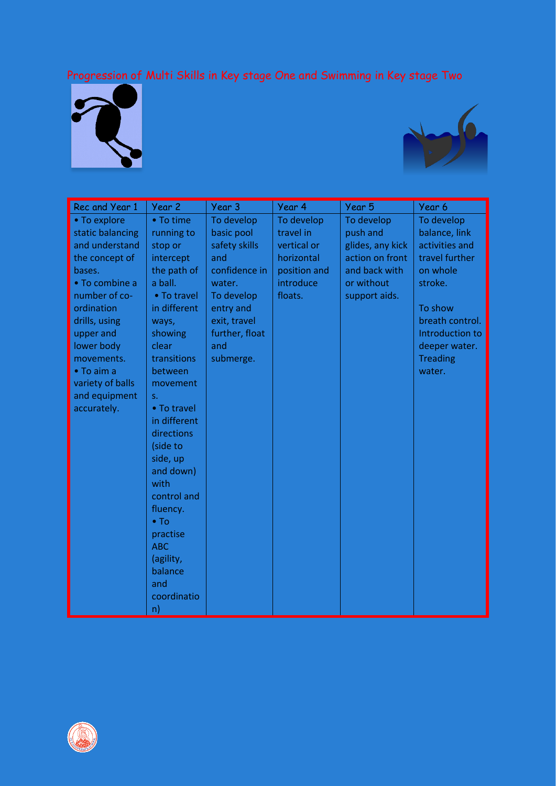#### Progression of Multi Skills in Key stage One and Swimming in Key stage Two





| Rec and Year 1     | Year 2               | Year 3         | Year 4       | Year 5           | Year 6          |
|--------------------|----------------------|----------------|--------------|------------------|-----------------|
| • To explore       | • To time            | To develop     | To develop   | To develop       | To develop      |
| static balancing   | running to           | basic pool     | travel in    | push and         | balance, link   |
| and understand     | stop or              | safety skills  | vertical or  | glides, any kick | activities and  |
| the concept of     | intercept            | and            | horizontal   | action on front  | travel further  |
| bases.             | the path of          | confidence in  | position and | and back with    | on whole        |
| • To combine a     | a ball.              | water.         | introduce    | or without       | stroke.         |
| number of co-      | • To travel          | To develop     | floats.      | support aids.    |                 |
| ordination         | in different         | entry and      |              |                  | To show         |
| drills, using      | ways,                | exit, travel   |              |                  | breath control. |
| upper and          | showing              | further, float |              |                  | Introduction to |
| lower body         | clear                | and            |              |                  | deeper water.   |
| movements.         | transitions          | submerge.      |              |                  | <b>Treading</b> |
| $\bullet$ To aim a | between              |                |              |                  | water.          |
| variety of balls   | movement             |                |              |                  |                 |
| and equipment      | $S_{-}$              |                |              |                  |                 |
| accurately.        | • To travel          |                |              |                  |                 |
|                    | in different         |                |              |                  |                 |
|                    | directions           |                |              |                  |                 |
|                    | (side to             |                |              |                  |                 |
|                    | side, up             |                |              |                  |                 |
|                    | and down)            |                |              |                  |                 |
|                    | with                 |                |              |                  |                 |
|                    | control and          |                |              |                  |                 |
|                    | fluency.             |                |              |                  |                 |
|                    | $\bullet$ To         |                |              |                  |                 |
|                    | practise             |                |              |                  |                 |
|                    | <b>ABC</b>           |                |              |                  |                 |
|                    | (agility,<br>balance |                |              |                  |                 |
|                    | and                  |                |              |                  |                 |
|                    | coordinatio          |                |              |                  |                 |
|                    |                      |                |              |                  |                 |
|                    | n)                   |                |              |                  |                 |

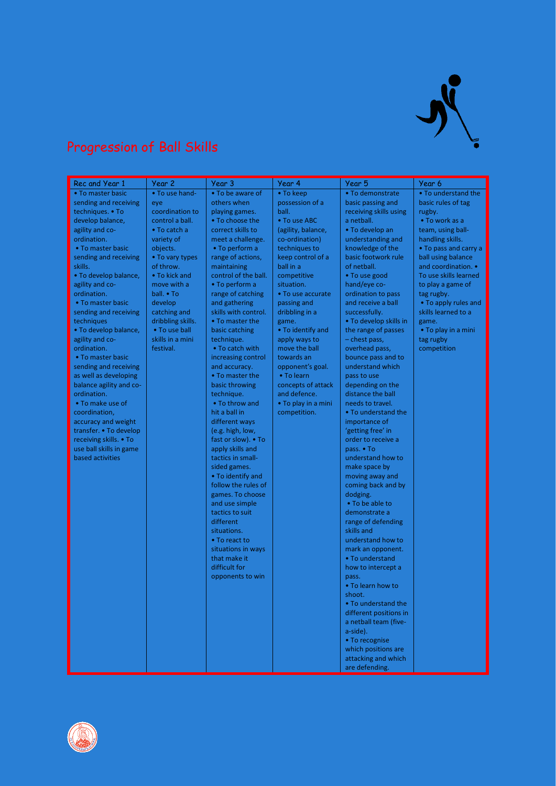

#### Progression of Ball Skills

| Rec and Year 1          | Year 2            | Year 3                            | Year 4              | Year 5                           | Year 6                |
|-------------------------|-------------------|-----------------------------------|---------------------|----------------------------------|-----------------------|
| • To master basic       | • To use hand-    | • To be aware of                  | • To keep           | • To demonstrate                 | • To understand the   |
| sending and receiving   | eye               | others when                       | possession of a     | basic passing and                | basic rules of tag    |
| techniques. • To        | coordination to   | playing games.                    | ball.               | receiving skills using           | rugby.                |
| develop balance,        | control a ball.   | • To choose the                   | • To use ABC        | a netball.                       | • To work as a        |
| agility and co-         | • To catch a      | correct skills to                 | (agility, balance,  | • To develop an                  | team, using ball-     |
| ordination.             | variety of        | meet a challenge.                 | co-ordination)      | understanding and                | handling skills.      |
| • To master basic       | objects.          | • To perform a                    | techniques to       | knowledge of the                 | • To pass and carry a |
| sending and receiving   | • To vary types   | range of actions,                 | keep control of a   | basic footwork rule              | ball using balance    |
| skills.                 | of throw.         | maintaining                       | ball in a           | of netball.                      | and coordination. •   |
| · To develop balance,   | • To kick and     | control of the ball.              | competitive         | • To use good                    | To use skills learned |
| agility and co-         | move with a       | • To perform a                    | situation.          | hand/eye co-                     | to play a game of     |
| ordination.             | ball. • To        | range of catching                 | • To use accurate   | ordination to pass               | tag rugby.            |
| • To master basic       | develop           | and gathering                     | passing and         | and receive a ball               | • To apply rules and  |
| sending and receiving   | catching and      | skills with control.              | dribbling in a      | successfully.                    | skills learned to a   |
| techniques              | dribbling skills. | • To master the                   | game.               | • To develop skills in           | game.                 |
| • To develop balance,   | • To use ball     | basic catching                    | . To identify and   | the range of passes              | • To play in a mini   |
| agility and co-         | skills in a mini  | technique.                        | apply ways to       | - chest pass,                    | tag rugby             |
| ordination.             | festival.         | • To catch with                   | move the ball       | overhead pass,                   | competition           |
| • To master basic       |                   | increasing control                | towards an          | bounce pass and to               |                       |
| sending and receiving   |                   | and accuracy.                     | opponent's goal.    | understand which                 |                       |
| as well as developing   |                   | • To master the                   | • To learn          | pass to use                      |                       |
| balance agility and co- |                   | basic throwing                    | concepts of attack  | depending on the                 |                       |
| ordination.             |                   | technique.                        | and defence.        | distance the ball                |                       |
| • To make use of        |                   | • To throw and                    | • To play in a mini | needs to travel.                 |                       |
| coordination,           |                   | hit a ball in                     | competition.        | • To understand the              |                       |
| accuracy and weight     |                   | different ways                    |                     | importance of                    |                       |
| transfer. • To develop  |                   | (e.g. high, low,                  |                     | 'getting free' in                |                       |
| receiving skills. • To  |                   | fast or slow). • To               |                     | order to receive a               |                       |
| use ball skills in game |                   | apply skills and                  |                     | pass. • To                       |                       |
| based activities        |                   | tactics in small-                 |                     | understand how to                |                       |
|                         |                   | sided games.<br>• To identify and |                     | make space by<br>moving away and |                       |
|                         |                   | follow the rules of               |                     | coming back and by               |                       |
|                         |                   | games. To choose                  |                     | dodging.                         |                       |
|                         |                   | and use simple                    |                     | • To be able to                  |                       |
|                         |                   | tactics to suit                   |                     | demonstrate a                    |                       |
|                         |                   | different                         |                     | range of defending               |                       |
|                         |                   | situations.                       |                     | skills and                       |                       |
|                         |                   | • To react to                     |                     | understand how to                |                       |
|                         |                   | situations in ways                |                     | mark an opponent.                |                       |
|                         |                   | that make it                      |                     | • To understand                  |                       |
|                         |                   | difficult for                     |                     | how to intercept a               |                       |
|                         |                   | opponents to win                  |                     | pass.                            |                       |
|                         |                   |                                   |                     | • To learn how to                |                       |
|                         |                   |                                   |                     | shoot.                           |                       |
|                         |                   |                                   |                     | . To understand the              |                       |
|                         |                   |                                   |                     | different positions in           |                       |
|                         |                   |                                   |                     | a netball team (five-            |                       |
|                         |                   |                                   |                     | a-side).                         |                       |
|                         |                   |                                   |                     | • To recognise                   |                       |
|                         |                   |                                   |                     | which positions are              |                       |
|                         |                   |                                   |                     | attacking and which              |                       |
|                         |                   |                                   |                     | are defending.                   |                       |

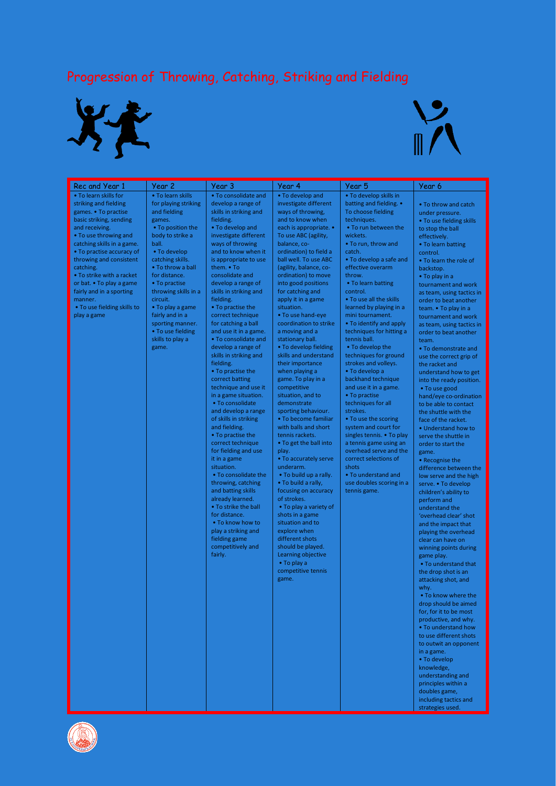### Progression of Throwing, Catching, Striking and Fielding





| Rec and Year 1                                                                                                                                                                                                                                                                                                                                                                                | Year 2                                                                                                                                                                                                                                                                                                                                                            | Year 3                                                                                                                                                                                                                                                                                                                                                                                                                                                                                                                                                                                                                                                                                                                                                                                                                                                                                                                                                                                    | Year 4                                                                                                                                                                                                                                                                                                                                                                                                                                                                                                                                                                                                                                                                                                                                                                                                                                                                                                                                                                                                                                                | Year 5                                                                                                                                                                                                                                                                                                                                                                                                                                                                                                                                                                                                                                                                                                                                                                                                                                  | Year 6                                                                                                                                                                                                                                                                                                                                                                                                                                                                                                                                                                                                                                                                                                                                                                                                                                                                                                                                                                                                                                                                                                                                                                                                                                                                                                                                                                                                                              |
|-----------------------------------------------------------------------------------------------------------------------------------------------------------------------------------------------------------------------------------------------------------------------------------------------------------------------------------------------------------------------------------------------|-------------------------------------------------------------------------------------------------------------------------------------------------------------------------------------------------------------------------------------------------------------------------------------------------------------------------------------------------------------------|-------------------------------------------------------------------------------------------------------------------------------------------------------------------------------------------------------------------------------------------------------------------------------------------------------------------------------------------------------------------------------------------------------------------------------------------------------------------------------------------------------------------------------------------------------------------------------------------------------------------------------------------------------------------------------------------------------------------------------------------------------------------------------------------------------------------------------------------------------------------------------------------------------------------------------------------------------------------------------------------|-------------------------------------------------------------------------------------------------------------------------------------------------------------------------------------------------------------------------------------------------------------------------------------------------------------------------------------------------------------------------------------------------------------------------------------------------------------------------------------------------------------------------------------------------------------------------------------------------------------------------------------------------------------------------------------------------------------------------------------------------------------------------------------------------------------------------------------------------------------------------------------------------------------------------------------------------------------------------------------------------------------------------------------------------------|-----------------------------------------------------------------------------------------------------------------------------------------------------------------------------------------------------------------------------------------------------------------------------------------------------------------------------------------------------------------------------------------------------------------------------------------------------------------------------------------------------------------------------------------------------------------------------------------------------------------------------------------------------------------------------------------------------------------------------------------------------------------------------------------------------------------------------------------|-------------------------------------------------------------------------------------------------------------------------------------------------------------------------------------------------------------------------------------------------------------------------------------------------------------------------------------------------------------------------------------------------------------------------------------------------------------------------------------------------------------------------------------------------------------------------------------------------------------------------------------------------------------------------------------------------------------------------------------------------------------------------------------------------------------------------------------------------------------------------------------------------------------------------------------------------------------------------------------------------------------------------------------------------------------------------------------------------------------------------------------------------------------------------------------------------------------------------------------------------------------------------------------------------------------------------------------------------------------------------------------------------------------------------------------|
| . To learn skills for<br>striking and fielding<br>games. • To practise<br>basic striking, sending<br>and receiving.<br>• To use throwing and<br>catching skills in a game.<br>• To practise accuracy of<br>throwing and consistent<br>catching.<br>• To strike with a racket<br>or bat. • To play a game<br>fairly and in a sporting<br>manner.<br>• To use fielding skills to<br>play a game | . To learn skills<br>for playing striking<br>and fielding<br>games.<br>• To position the<br>body to strike a<br>ball.<br>• To develop<br>catching skills.<br>• To throw a ball<br>for distance.<br>• To practise<br>throwing skills in a<br>circuit.<br>• To play a game<br>fairly and in a<br>sporting manner.<br>• To use fielding<br>skills to play a<br>game. | . To consolidate and<br>develop a range of<br>skills in striking and<br>fielding.<br>• To develop and<br>investigate different<br>ways of throwing<br>and to know when it<br>is appropriate to use<br>them. • To<br>consolidate and<br>develop a range of<br>skills in striking and<br>fielding.<br>• To practise the<br>correct technique<br>for catching a ball<br>and use it in a game.<br>• To consolidate and<br>develop a range of<br>skills in striking and<br>fielding.<br>• To practise the<br>correct batting<br>technique and use it<br>in a game situation.<br>• To consolidate<br>and develop a range<br>of skills in striking<br>and fielding.<br>• To practise the<br>correct technique<br>for fielding and use<br>it in a game<br>situation.<br>• To consolidate the<br>throwing, catching<br>and batting skills<br>already learned.<br>. To strike the ball<br>for distance.<br>• To know how to<br>play a striking and<br>fielding game<br>competitively and<br>fairly. | • To develop and<br>investigate different<br>ways of throwing,<br>and to know when<br>each is appropriate. •<br>To use ABC (agility,<br>balance, co-<br>ordination) to field a<br>ball well. To use ABC<br>(agility, balance, co-<br>ordination) to move<br>into good positions<br>for catching and<br>apply it in a game<br>situation.<br>• To use hand-eye<br>coordination to strike<br>a moving and a<br>stationary ball.<br>• To develop fielding<br>skills and understand<br>their importance<br>when playing a<br>game. To play in a<br>competitive<br>situation, and to<br>demonstrate<br>sporting behaviour.<br>• To become familiar<br>with balls and short<br>tennis rackets.<br>• To get the ball into<br>play.<br>• To accurately serve<br>underarm.<br>• To build up a rally.<br>. To build a rally,<br>focusing on accuracy<br>of strokes.<br>• To play a variety of<br>shots in a game<br>situation and to<br>explore when<br>different shots<br>should be played.<br>Learning objective<br>• To play a<br>competitive tennis<br>game. | . To develop skills in<br>batting and fielding. •<br>To choose fielding<br>techniques.<br>• To run between the<br>wickets.<br>. To run, throw and<br>catch.<br>• To develop a safe and<br>effective overarm<br>throw.<br>• To learn batting<br>control.<br>. To use all the skills<br>learned by playing in a<br>mini tournament.<br>. To identify and apply<br>techniques for hitting a<br>tennis ball.<br>• To develop the<br>techniques for ground<br>strokes and volleys.<br>• To develop a<br>backhand technique<br>and use it in a game.<br>• To practise<br>techniques for all<br>strokes.<br>• To use the scoring<br>system and court for<br>singles tennis. . To play<br>a tennis game using an<br>overhead serve and the<br>correct selections of<br>shots<br>• To understand and<br>use doubles scoring in a<br>tennis game. | • To throw and catch<br>under pressure.<br>• To use fielding skills<br>to stop the ball<br>effectively.<br>• To learn batting<br>control.<br>• To learn the role of<br>backstop.<br>• To play in a<br>tournament and work<br>as team, using tactics in<br>order to beat another<br>team. • To play in a<br>tournament and work<br>as team, using tactics in<br>order to beat another<br>team.<br>• To demonstrate and<br>use the correct grip of<br>the racket and<br>understand how to get<br>into the ready position.<br>• To use good<br>hand/eye co-ordination<br>to be able to contact<br>the shuttle with the<br>face of the racket.<br>• Understand how to<br>serve the shuttle in<br>order to start the<br>game.<br>• Recognise the<br>difference between the<br>low serve and the high<br>serve. • To develop<br>children's ability to<br>perform and<br>understand the<br>'overhead clear' shot<br>and the impact that<br>playing the overhead<br>clear can have on<br>winning points during<br>game play.<br>• To understand that<br>the drop shot is an<br>attacking shot, and<br>why.<br>• To know where the<br>drop should be aimed<br>for, for it to be most<br>productive, and why.<br>. To understand how<br>to use different shots<br>to outwit an opponent<br>in a game.<br>• To develop<br>knowledge,<br>understanding and<br>principles within a<br>doubles game,<br>including tactics and<br>strategies used. |